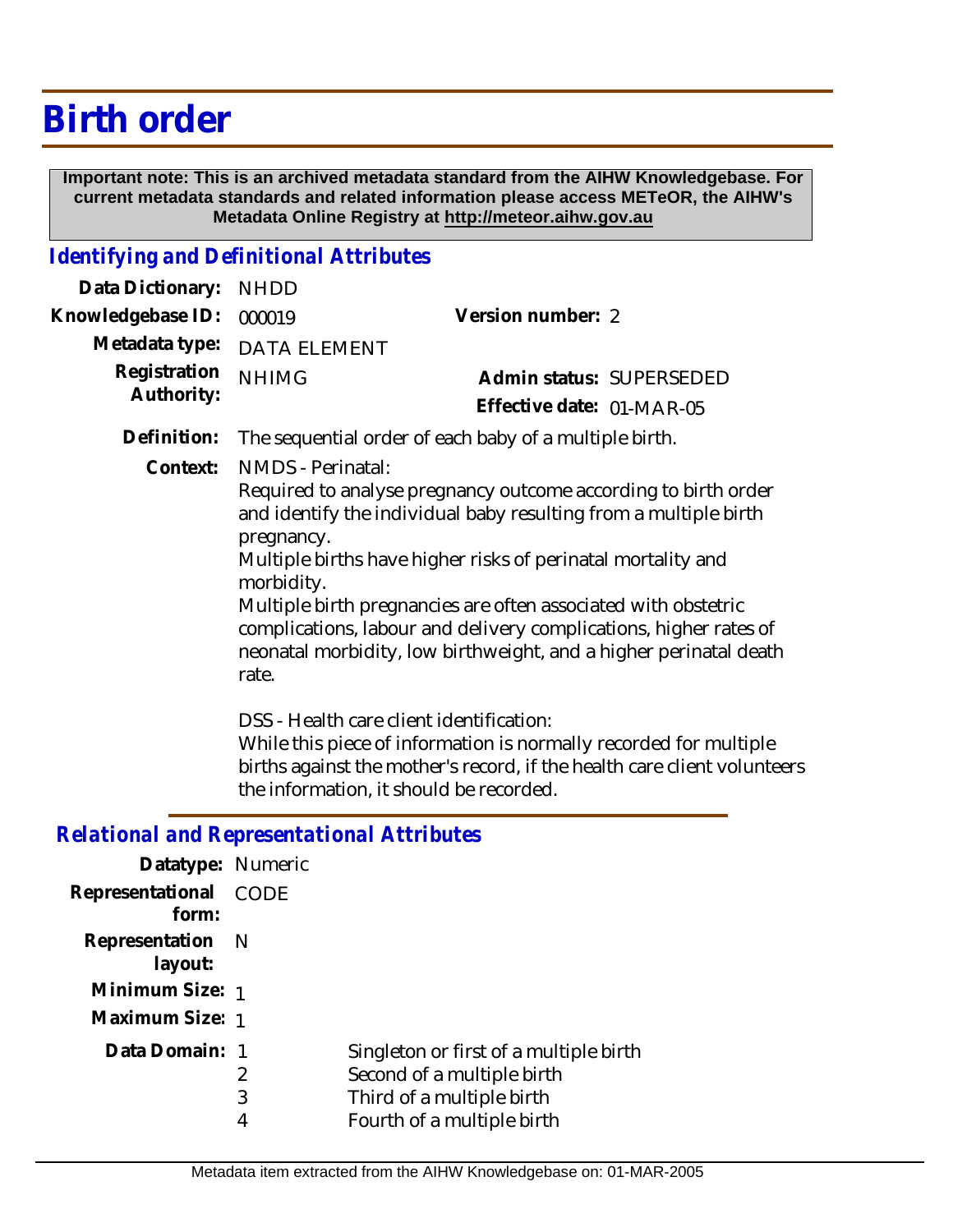## **Birth order**

 **Important note: This is an archived metadata standard from the AIHW Knowledgebase. For current metadata standards and related information please access METeOR, the AIHW's Metadata Online Registry at http://meteor.aihw.gov.au**

## *Identifying and Definitional Attributes*

| Data Dictionary:           | <b>NHDD</b>                                                                                                                                                                                                                                                                                                                                                                                                                                                              |                                                                                                                                                                                           |  |
|----------------------------|--------------------------------------------------------------------------------------------------------------------------------------------------------------------------------------------------------------------------------------------------------------------------------------------------------------------------------------------------------------------------------------------------------------------------------------------------------------------------|-------------------------------------------------------------------------------------------------------------------------------------------------------------------------------------------|--|
| Knowledgebase ID:          | 000019                                                                                                                                                                                                                                                                                                                                                                                                                                                                   | Version number: 2                                                                                                                                                                         |  |
| Metadata type:             | <b>DATA ELEMENT</b>                                                                                                                                                                                                                                                                                                                                                                                                                                                      |                                                                                                                                                                                           |  |
| Registration<br>Authority: | <b>NHIMG</b>                                                                                                                                                                                                                                                                                                                                                                                                                                                             | Admin status: SUPERSEDED                                                                                                                                                                  |  |
|                            |                                                                                                                                                                                                                                                                                                                                                                                                                                                                          | Effective date: 01-MAR-05                                                                                                                                                                 |  |
| Definition:                | The sequential order of each baby of a multiple birth.                                                                                                                                                                                                                                                                                                                                                                                                                   |                                                                                                                                                                                           |  |
| Context:                   | NMDS - Perinatal:<br>Required to analyse pregnancy outcome according to birth order<br>and identify the individual baby resulting from a multiple birth<br>pregnancy.<br>Multiple births have higher risks of perinatal mortality and<br>morbidity.<br>Multiple birth pregnancies are often associated with obstetric<br>complications, labour and delivery complications, higher rates of<br>neonatal morbidity, low birthweight, and a higher perinatal death<br>rate. |                                                                                                                                                                                           |  |
|                            |                                                                                                                                                                                                                                                                                                                                                                                                                                                                          | DSS - Health care client identification:<br>While this piece of information is normally recorded for multiple<br>births against the mother's record, if the health care client volunteers |  |

the information, it should be recorded.

## *Relational and Representational Attributes*

| Datatype: Numeric              |             |                                                                                                                                 |
|--------------------------------|-------------|---------------------------------------------------------------------------------------------------------------------------------|
| Representational CODE<br>form: |             |                                                                                                                                 |
| Representation N<br>layout:    |             |                                                                                                                                 |
| Minimum Size: 1                |             |                                                                                                                                 |
| Maximum Size: 1                |             |                                                                                                                                 |
| Data Domain: 1                 | 2<br>3<br>4 | Singleton or first of a multiple birth<br>Second of a multiple birth<br>Third of a multiple birth<br>Fourth of a multiple birth |